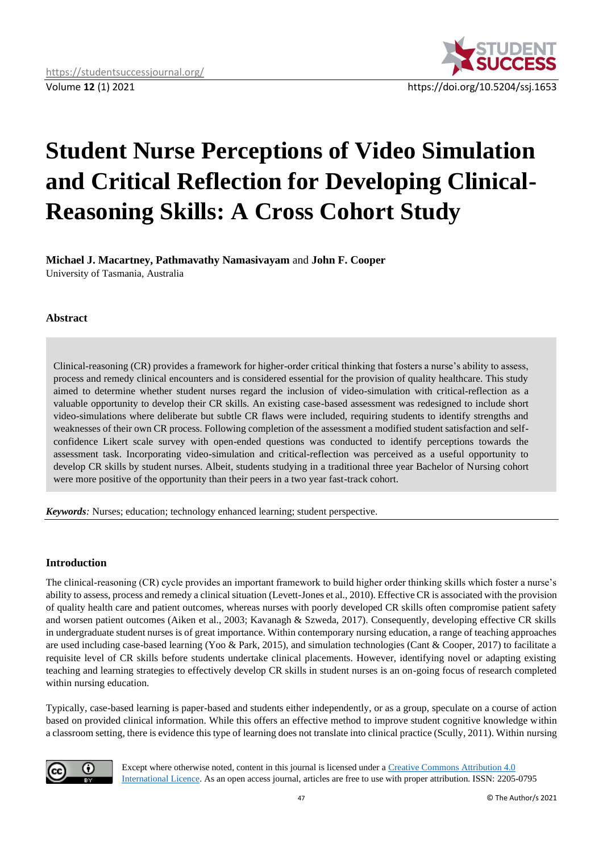

# **Student Nurse Perceptions of Video Simulation and Critical Reflection for Developing Clinical-Reasoning Skills: A Cross Cohort Study**

**Michael J. Macartney, Pathmavathy Namasivayam** and **John F. Cooper**

University of Tasmania, Australia

# **Abstract**

Clinical-reasoning (CR) provides a framework for higher-order critical thinking that fosters a nurse's ability to assess, process and remedy clinical encounters and is considered essential for the provision of quality healthcare. This study aimed to determine whether student nurses regard the inclusion of video-simulation with critical-reflection as a valuable opportunity to develop their CR skills. An existing case-based assessment was redesigned to include short video-simulations where deliberate but subtle CR flaws were included, requiring students to identify strengths and weaknesses of their own CR process. Following completion of the assessment a modified student satisfaction and selfconfidence Likert scale survey with open-ended questions was conducted to identify perceptions towards the assessment task. Incorporating video-simulation and critical-reflection was perceived as a useful opportunity to develop CR skills by student nurses. Albeit, students studying in a traditional three year Bachelor of Nursing cohort were more positive of the opportunity than their peers in a two year fast-track cohort.

*Keywords:* Nurses; education; technology enhanced learning; student perspective.

# **Introduction**

The clinical-reasoning (CR) cycle provides an important framework to build higher order thinking skills which foster a nurse's ability to assess, process and remedy a clinical situation (Levett-Jones et al., 2010). Effective CR is associated with the provision of quality health care and patient outcomes, whereas nurses with poorly developed CR skills often compromise patient safety and worsen patient outcomes (Aiken et al., 2003; Kavanagh & Szweda, 2017). Consequently, developing effective CR skills in undergraduate student nurses is of great importance. Within contemporary nursing education, a range of teaching approaches are used including case-based learning (Yoo & Park, 2015), and simulation technologies (Cant & Cooper, 2017) to facilitate a requisite level of CR skills before students undertake clinical placements. However, identifying novel or adapting existing teaching and learning strategies to effectively develop CR skills in student nurses is an on-going focus of research completed within nursing education.

Typically, case-based learning is paper-based and students either independently, or as a group, speculate on a course of action based on provided clinical information. While this offers an effective method to improve student cognitive knowledge within a classroom setting, there is evidence this type of learning does not translate into clinical practice (Scully, 2011). Within nursing



Except where otherwise noted, content in this journal is licensed under [a Creative Commons Attribution 4.0](https://creativecommons.org/licenses/by/4.0/)  [International Licence.](https://creativecommons.org/licenses/by/4.0/) As an open access journal, articles are free to use with proper attribution. ISSN: 2205-0795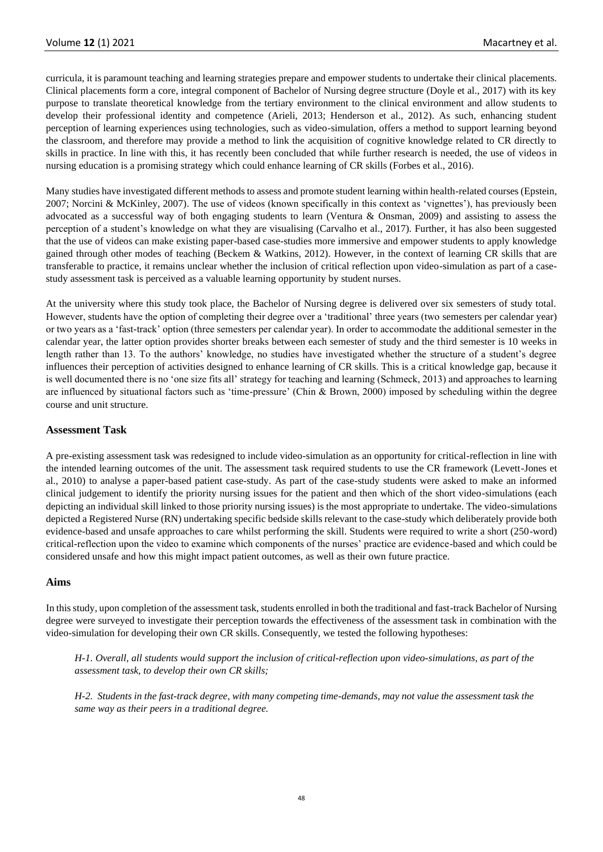curricula, it is paramount teaching and learning strategies prepare and empower students to undertake their clinical placements. Clinical placements form a core, integral component of Bachelor of Nursing degree structure (Doyle et al., 2017) with its key purpose to translate theoretical knowledge from the tertiary environment to the clinical environment and allow students to develop their professional identity and competence (Arieli, 2013; Henderson et al., 2012). As such, enhancing student perception of learning experiences using technologies, such as video-simulation, offers a method to support learning beyond the classroom, and therefore may provide a method to link the acquisition of cognitive knowledge related to CR directly to skills in practice. In line with this, it has recently been concluded that while further research is needed, the use of videos in nursing education is a promising strategy which could enhance learning of CR skills (Forbes et al., 2016).

Many studies have investigated different methods to assess and promote student learning within health-related courses (Epstein, 2007; Norcini & McKinley, 2007). The use of videos (known specifically in this context as 'vignettes'), has previously been advocated as a successful way of both engaging students to learn (Ventura & Onsman, 2009) and assisting to assess the perception of a student's knowledge on what they are visualising (Carvalho et al., 2017). Further, it has also been suggested that the use of videos can make existing paper-based case-studies more immersive and empower students to apply knowledge gained through other modes of teaching (Beckem & Watkins, 2012). However, in the context of learning CR skills that are transferable to practice, it remains unclear whether the inclusion of critical reflection upon video-simulation as part of a casestudy assessment task is perceived as a valuable learning opportunity by student nurses.

At the university where this study took place, the Bachelor of Nursing degree is delivered over six semesters of study total. However, students have the option of completing their degree over a 'traditional' three years (two semesters per calendar year) or two years as a 'fast-track' option (three semesters per calendar year). In order to accommodate the additional semester in the calendar year, the latter option provides shorter breaks between each semester of study and the third semester is 10 weeks in length rather than 13. To the authors' knowledge, no studies have investigated whether the structure of a student's degree influences their perception of activities designed to enhance learning of CR skills. This is a critical knowledge gap, because it is well documented there is no 'one size fits all' strategy for teaching and learning (Schmeck, 2013) and approaches to learning are influenced by situational factors such as 'time-pressure' (Chin & Brown, 2000) imposed by scheduling within the degree course and unit structure.

#### **Assessment Task**

A pre-existing assessment task was redesigned to include video-simulation as an opportunity for critical-reflection in line with the intended learning outcomes of the unit. The assessment task required students to use the CR framework (Levett-Jones et al., 2010) to analyse a paper-based patient case-study. As part of the case-study students were asked to make an informed clinical judgement to identify the priority nursing issues for the patient and then which of the short video-simulations (each depicting an individual skill linked to those priority nursing issues) is the most appropriate to undertake. The video-simulations depicted a Registered Nurse (RN) undertaking specific bedside skills relevant to the case-study which deliberately provide both evidence-based and unsafe approaches to care whilst performing the skill. Students were required to write a short (250-word) critical-reflection upon the video to examine which components of the nurses' practice are evidence-based and which could be considered unsafe and how this might impact patient outcomes, as well as their own future practice.

#### **Aims**

In this study, upon completion of the assessment task, students enrolled in both the traditional and fast-track Bachelor of Nursing degree were surveyed to investigate their perception towards the effectiveness of the assessment task in combination with the video-simulation for developing their own CR skills. Consequently, we tested the following hypotheses:

*H-1. Overall, all students would support the inclusion of critical-reflection upon video-simulations, as part of the assessment task, to develop their own CR skills;*

*H-2. Students in the fast-track degree, with many competing time-demands, may not value the assessment task the same way as their peers in a traditional degree.*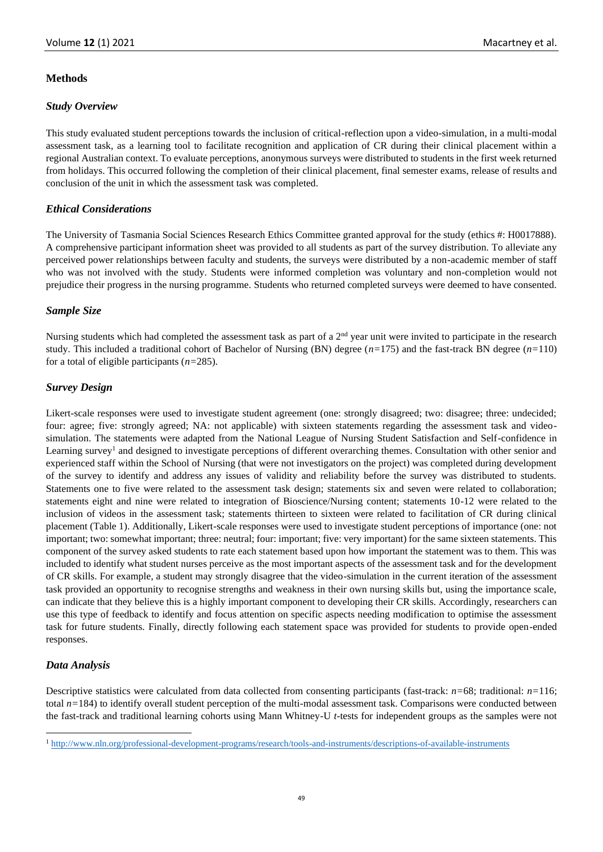## **Methods**

## *Study Overview*

This study evaluated student perceptions towards the inclusion of critical-reflection upon a video-simulation, in a multi-modal assessment task, as a learning tool to facilitate recognition and application of CR during their clinical placement within a regional Australian context. To evaluate perceptions, anonymous surveys were distributed to students in the first week returned from holidays. This occurred following the completion of their clinical placement, final semester exams, release of results and conclusion of the unit in which the assessment task was completed.

## *Ethical Considerations*

The University of Tasmania Social Sciences Research Ethics Committee granted approval for the study (ethics #: H0017888). A comprehensive participant information sheet was provided to all students as part of the survey distribution. To alleviate any perceived power relationships between faculty and students, the surveys were distributed by a non-academic member of staff who was not involved with the study. Students were informed completion was voluntary and non-completion would not prejudice their progress in the nursing programme. Students who returned completed surveys were deemed to have consented.

## *Sample Size*

Nursing students which had completed the assessment task as part of a  $2<sup>nd</sup>$  year unit were invited to participate in the research study. This included a traditional cohort of Bachelor of Nursing (BN) degree (*n=*175) and the fast-track BN degree (*n=*110) for a total of eligible participants (*n=*285).

## *Survey Design*

Likert-scale responses were used to investigate student agreement (one: strongly disagreed; two: disagree; three: undecided; four: agree; five: strongly agreed; NA: not applicable) with sixteen statements regarding the assessment task and videosimulation. The statements were adapted from the National League of Nursing Student Satisfaction and Self-confidence in Learning survey<sup>1</sup> and designed to investigate perceptions of different overarching themes. Consultation with other senior and experienced staff within the School of Nursing (that were not investigators on the project) was completed during development of the survey to identify and address any issues of validity and reliability before the survey was distributed to students. Statements one to five were related to the assessment task design; statements six and seven were related to collaboration; statements eight and nine were related to integration of Bioscience/Nursing content; statements 10-12 were related to the inclusion of videos in the assessment task; statements thirteen to sixteen were related to facilitation of CR during clinical placement (Table 1). Additionally, Likert-scale responses were used to investigate student perceptions of importance (one: not important; two: somewhat important; three: neutral; four: important; five: very important) for the same sixteen statements. This component of the survey asked students to rate each statement based upon how important the statement was to them. This was included to identify what student nurses perceive as the most important aspects of the assessment task and for the development of CR skills. For example, a student may strongly disagree that the video-simulation in the current iteration of the assessment task provided an opportunity to recognise strengths and weakness in their own nursing skills but, using the importance scale, can indicate that they believe this is a highly important component to developing their CR skills. Accordingly, researchers can use this type of feedback to identify and focus attention on specific aspects needing modification to optimise the assessment task for future students. Finally, directly following each statement space was provided for students to provide open-ended responses.

# *Data Analysis*

Descriptive statistics were calculated from data collected from consenting participants (fast-track: *n=*68; traditional: *n=*116; total  $n=184$ ) to identify overall student perception of the multi-modal assessment task. Comparisons were conducted between the fast-track and traditional learning cohorts using Mann Whitney-U *t-*tests for independent groups as the samples were not

<sup>1</sup> <http://www.nln.org/professional-development-programs/research/tools-and-instruments/descriptions-of-available-instruments>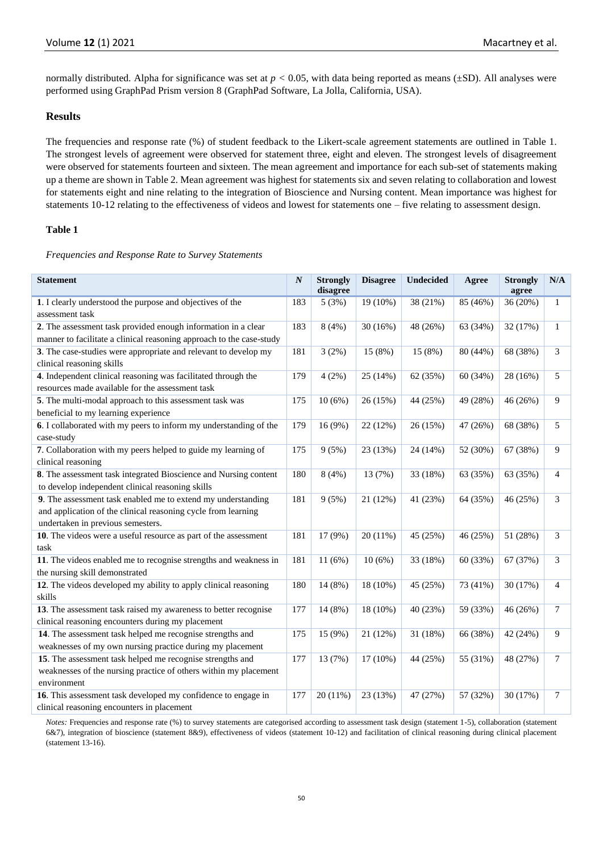normally distributed. Alpha for significance was set at  $p < 0.05$ , with data being reported as means ( $\pm$ SD). All analyses were performed using GraphPad Prism version 8 (GraphPad Software, La Jolla, California, USA).

# **Results**

The frequencies and response rate (%) of student feedback to the Likert-scale agreement statements are outlined in Table 1. The strongest levels of agreement were observed for statement three, eight and eleven. The strongest levels of disagreement were observed for statements fourteen and sixteen. The mean agreement and importance for each sub-set of statements making up a theme are shown in Table 2. Mean agreement was highest for statements six and seven relating to collaboration and lowest for statements eight and nine relating to the integration of Bioscience and Nursing content. Mean importance was highest for statements 10-12 relating to the effectiveness of videos and lowest for statements one – five relating to assessment design.

## **Table 1**

*Frequencies and Response Rate to Survey Statements*

| <b>Statement</b>                                                                                                                                                   | $\boldsymbol{N}$ | <b>Strongly</b><br>disagree | <b>Disagree</b> | <b>Undecided</b> | Agree    | <b>Strongly</b><br>agree | $\mathbf{N}/\mathbf{A}$ |
|--------------------------------------------------------------------------------------------------------------------------------------------------------------------|------------------|-----------------------------|-----------------|------------------|----------|--------------------------|-------------------------|
| 1. I clearly understood the purpose and objectives of the<br>assessment task                                                                                       | 183              | 5(3%)                       | 19 (10%)        | 38 (21%)         | 85 (46%) | 36 (20%)                 | 1                       |
| 2. The assessment task provided enough information in a clear<br>manner to facilitate a clinical reasoning approach to the case-study                              | 183              | 8(4%)                       | 30(16%)         | 48 (26%)         | 63 (34%) | 32 (17%)                 | $\mathbf{1}$            |
| 3. The case-studies were appropriate and relevant to develop my<br>clinical reasoning skills                                                                       | 181              | 3(2%)                       | 15 (8%)         | 15 (8%)          | 80 (44%) | 68 (38%)                 | 3                       |
| 4. Independent clinical reasoning was facilitated through the<br>resources made available for the assessment task                                                  | 179              | 4(2%)                       | 25 (14%)        | 62 (35%)         | 60 (34%) | 28 (16%)                 | 5                       |
| 5. The multi-modal approach to this assessment task was<br>beneficial to my learning experience                                                                    | 175              | 10(6%)                      | 26 (15%)        | 44 (25%)         | 49 (28%) | 46 (26%)                 | 9                       |
| 6. I collaborated with my peers to inform my understanding of the<br>case-study                                                                                    | 179              | 16 (9%)                     | 22 (12%)        | 26 (15%)         | 47 (26%) | 68 (38%)                 | 5                       |
| 7. Collaboration with my peers helped to guide my learning of<br>clinical reasoning                                                                                | 175              | 9(5%)                       | 23 (13%)        | 24 (14%)         | 52 (30%) | 67 (38%)                 | 9                       |
| 8. The assessment task integrated Bioscience and Nursing content<br>to develop independent clinical reasoning skills                                               | 180              | 8(4%)                       | 13 (7%)         | 33 (18%)         | 63 (35%) | 63 (35%)                 | 4                       |
| 9. The assessment task enabled me to extend my understanding<br>and application of the clinical reasoning cycle from learning<br>undertaken in previous semesters. | 181              | 9(5%)                       | 21 (12%)        | 41 (23%)         | 64 (35%) | 46 (25%)                 | 3                       |
| 10. The videos were a useful resource as part of the assessment<br>task                                                                                            | 181              | 17 (9%)                     | 20(11%)         | 45 (25%)         | 46 (25%) | 51 (28%)                 | 3                       |
| 11. The videos enabled me to recognise strengths and weakness in<br>the nursing skill demonstrated                                                                 | 181              | 11(6%)                      | 10(6%)          | 33 (18%)         | 60 (33%) | 67 (37%)                 | 3                       |
| 12. The videos developed my ability to apply clinical reasoning<br>skills                                                                                          | 180              | 14 (8%)                     | 18 (10%)        | 45 (25%)         | 73 (41%) | 30 (17%)                 | 4                       |
| 13. The assessment task raised my awareness to better recognise<br>clinical reasoning encounters during my placement                                               | 177              | 14 (8%)                     | 18 (10%)        | 40 (23%)         | 59 (33%) | 46 (26%)                 | 7                       |
| 14. The assessment task helped me recognise strengths and<br>weaknesses of my own nursing practice during my placement                                             | 175              | 15 (9%)                     | 21 (12%)        | 31 (18%)         | 66 (38%) | 42 (24%)                 | 9                       |
| 15. The assessment task helped me recognise strengths and<br>weaknesses of the nursing practice of others within my placement<br>environment                       | 177              | 13 (7%)                     | 17 (10%)        | 44 (25%)         | 55 (31%) | 48 (27%)                 | 7                       |
| 16. This assessment task developed my confidence to engage in<br>clinical reasoning encounters in placement                                                        | 177              | 20 (11%)                    | 23 (13%)        | 47 (27%)         | 57 (32%) | 30 (17%)                 | 7                       |

*Notes:* Frequencies and response rate (%) to survey statements are categorised according to assessment task design (statement 1-5), collaboration (statement 6&7), integration of bioscience (statement 8&9), effectiveness of videos (statement 10-12) and facilitation of clinical reasoning during clinical placement (statement 13-16).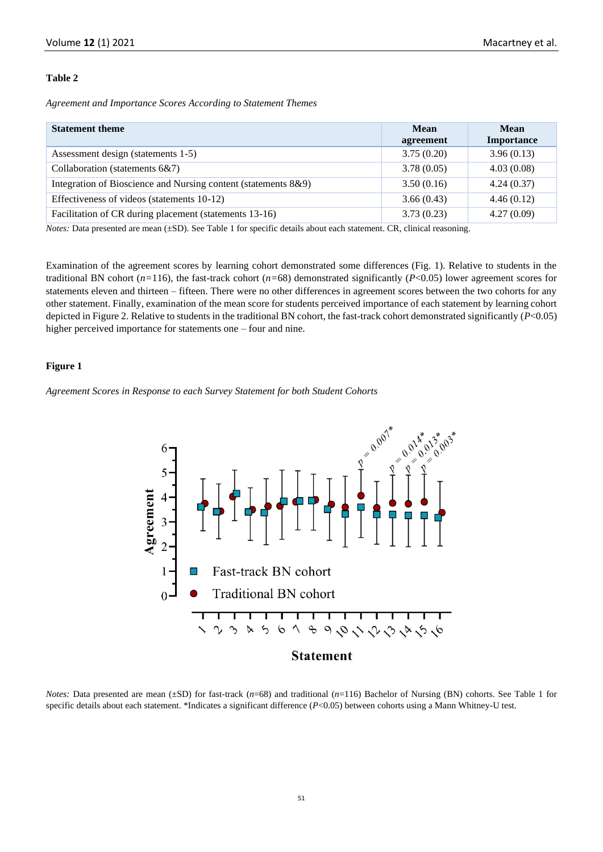#### **Table 2**

*Agreement and Importance Scores According to Statement Themes* 

| <b>Statement theme</b>                                         | Mean<br>agreement | <b>Mean</b><br>Importance |
|----------------------------------------------------------------|-------------------|---------------------------|
| Assessment design (statements 1-5)                             | 3.75(0.20)        | 3.96(0.13)                |
| Collaboration (statements 6&7)                                 | 3.78(0.05)        | 4.03(0.08)                |
| Integration of Bioscience and Nursing content (statements 8&9) | 3.50(0.16)        | 4.24(0.37)                |
| Effectiveness of videos (statements 10-12)                     | 3.66(0.43)        | 4.46(0.12)                |
| Facilitation of CR during placement (statements 13-16)         | 3.73(0.23)        | 4.27(0.09)                |

*Notes:* Data presented are mean (±SD). See Table 1 for specific details about each statement. CR, clinical reasoning.

Examination of the agreement scores by learning cohort demonstrated some differences (Fig. 1). Relative to students in the traditional BN cohort  $(n=116)$ , the fast-track cohort  $(n=68)$  demonstrated significantly  $(P<0.05)$  lower agreement scores for statements eleven and thirteen – fifteen. There were no other differences in agreement scores between the two cohorts for any other statement. Finally, examination of the mean score for students perceived importance of each statement by learning cohort depicted in Figure 2. Relative to students in the traditional BN cohort, the fast-track cohort demonstrated significantly (*P*<0.05) higher perceived importance for statements one – four and nine.

#### **Figure 1**

*Agreement Scores in Response to each Survey Statement for both Student Cohorts*



*Notes:* Data presented are mean ( $\pm SD$ ) for fast-track (*n*=68) and traditional (*n*=116) Bachelor of Nursing (BN) cohorts. See Table 1 for specific details about each statement. \*Indicates a significant difference (*P*<0.05) between cohorts using a Mann Whitney-U test.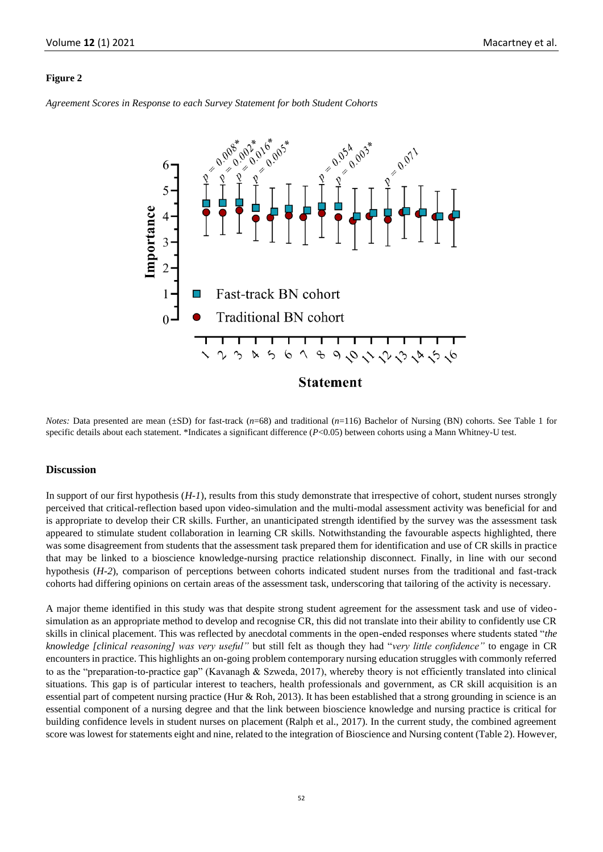#### **Figure 2**

*Agreement Scores in Response to each Survey Statement for both Student Cohorts*



*Notes:* Data presented are mean ( $\pm SD$ ) for fast-track (*n*=68) and traditional (*n*=116) Bachelor of Nursing (BN) cohorts. See Table 1 for specific details about each statement. \*Indicates a significant difference (*P*<0.05) between cohorts using a Mann Whitney-U test.

#### **Discussion**

In support of our first hypothesis (*H-1*), results from this study demonstrate that irrespective of cohort, student nurses strongly perceived that critical-reflection based upon video-simulation and the multi-modal assessment activity was beneficial for and is appropriate to develop their CR skills. Further, an unanticipated strength identified by the survey was the assessment task appeared to stimulate student collaboration in learning CR skills. Notwithstanding the favourable aspects highlighted, there was some disagreement from students that the assessment task prepared them for identification and use of CR skills in practice that may be linked to a bioscience knowledge-nursing practice relationship disconnect. Finally, in line with our second hypothesis (*H-2*), comparison of perceptions between cohorts indicated student nurses from the traditional and fast-track cohorts had differing opinions on certain areas of the assessment task, underscoring that tailoring of the activity is necessary.

A major theme identified in this study was that despite strong student agreement for the assessment task and use of videosimulation as an appropriate method to develop and recognise CR, this did not translate into their ability to confidently use CR skills in clinical placement. This was reflected by anecdotal comments in the open-ended responses where students stated "*the knowledge [clinical reasoning] was very useful"* but still felt as though they had "*very little confidence"* to engage in CR encounters in practice. This highlights an on-going problem contemporary nursing education struggles with commonly referred to as the "preparation-to-practice gap" (Kavanagh & Szweda, 2017), whereby theory is not efficiently translated into clinical situations. This gap is of particular interest to teachers, health professionals and government, as CR skill acquisition is an essential part of competent nursing practice (Hur & Roh, 2013). It has been established that a strong grounding in science is an essential component of a nursing degree and that the link between bioscience knowledge and nursing practice is critical for building confidence levels in student nurses on placement (Ralph et al., 2017). In the current study, the combined agreement score was lowest for statements eight and nine, related to the integration of Bioscience and Nursing content (Table 2). However,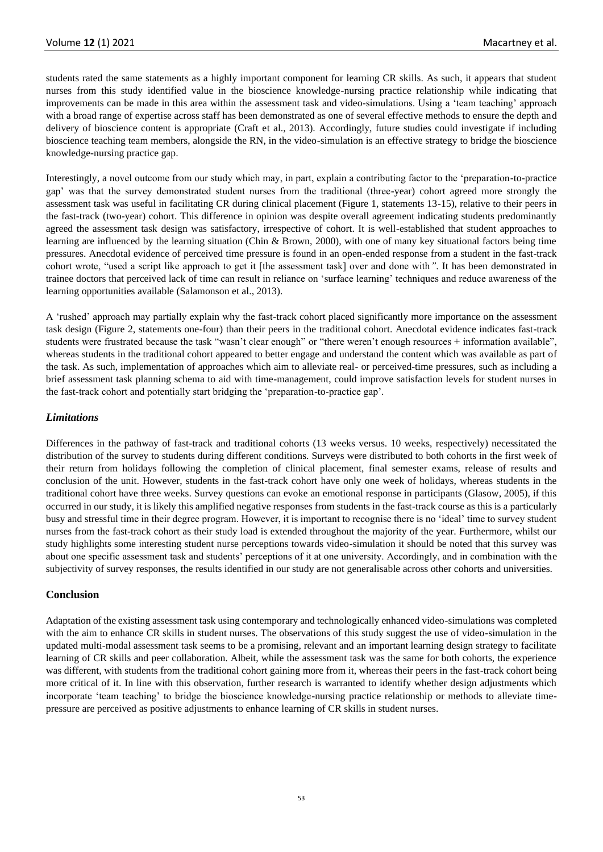students rated the same statements as a highly important component for learning CR skills. As such, it appears that student nurses from this study identified value in the bioscience knowledge-nursing practice relationship while indicating that improvements can be made in this area within the assessment task and video-simulations. Using a 'team teaching' approach with a broad range of expertise across staff has been demonstrated as one of several effective methods to ensure the depth and delivery of bioscience content is appropriate (Craft et al., 2013). Accordingly, future studies could investigate if including bioscience teaching team members, alongside the RN, in the video-simulation is an effective strategy to bridge the bioscience knowledge-nursing practice gap.

Interestingly, a novel outcome from our study which may, in part, explain a contributing factor to the 'preparation-to-practice gap' was that the survey demonstrated student nurses from the traditional (three-year) cohort agreed more strongly the assessment task was useful in facilitating CR during clinical placement (Figure 1, statements 13-15), relative to their peers in the fast-track (two-year) cohort. This difference in opinion was despite overall agreement indicating students predominantly agreed the assessment task design was satisfactory, irrespective of cohort. It is well-established that student approaches to learning are influenced by the learning situation (Chin & Brown, 2000), with one of many key situational factors being time pressures. Anecdotal evidence of perceived time pressure is found in an open-ended response from a student in the fast-track cohort wrote, "used a script like approach to get it [the assessment task] over and done with*"*. It has been demonstrated in trainee doctors that perceived lack of time can result in reliance on 'surface learning' techniques and reduce awareness of the learning opportunities available (Salamonson et al., 2013).

A 'rushed' approach may partially explain why the fast-track cohort placed significantly more importance on the assessment task design (Figure 2, statements one-four) than their peers in the traditional cohort. Anecdotal evidence indicates fast-track students were frustrated because the task "wasn't clear enough" or "there weren't enough resources + information available", whereas students in the traditional cohort appeared to better engage and understand the content which was available as part of the task. As such, implementation of approaches which aim to alleviate real- or perceived-time pressures, such as including a brief assessment task planning schema to aid with time-management, could improve satisfaction levels for student nurses in the fast-track cohort and potentially start bridging the 'preparation-to-practice gap'.

## *Limitations*

Differences in the pathway of fast-track and traditional cohorts (13 weeks versus. 10 weeks, respectively) necessitated the distribution of the survey to students during different conditions. Surveys were distributed to both cohorts in the first week of their return from holidays following the completion of clinical placement, final semester exams, release of results and conclusion of the unit. However, students in the fast-track cohort have only one week of holidays, whereas students in the traditional cohort have three weeks. Survey questions can evoke an emotional response in participants (Glasow, 2005), if this occurred in our study, it is likely this amplified negative responses from students in the fast-track course as this is a particularly busy and stressful time in their degree program. However, it is important to recognise there is no 'ideal' time to survey student nurses from the fast-track cohort as their study load is extended throughout the majority of the year. Furthermore, whilst our study highlights some interesting student nurse perceptions towards video-simulation it should be noted that this survey was about one specific assessment task and students' perceptions of it at one university. Accordingly, and in combination with the subjectivity of survey responses, the results identified in our study are not generalisable across other cohorts and universities.

# **Conclusion**

Adaptation of the existing assessment task using contemporary and technologically enhanced video-simulations was completed with the aim to enhance CR skills in student nurses. The observations of this study suggest the use of video-simulation in the updated multi-modal assessment task seems to be a promising, relevant and an important learning design strategy to facilitate learning of CR skills and peer collaboration. Albeit, while the assessment task was the same for both cohorts, the experience was different, with students from the traditional cohort gaining more from it, whereas their peers in the fast-track cohort being more critical of it. In line with this observation, further research is warranted to identify whether design adjustments which incorporate 'team teaching' to bridge the bioscience knowledge-nursing practice relationship or methods to alleviate timepressure are perceived as positive adjustments to enhance learning of CR skills in student nurses.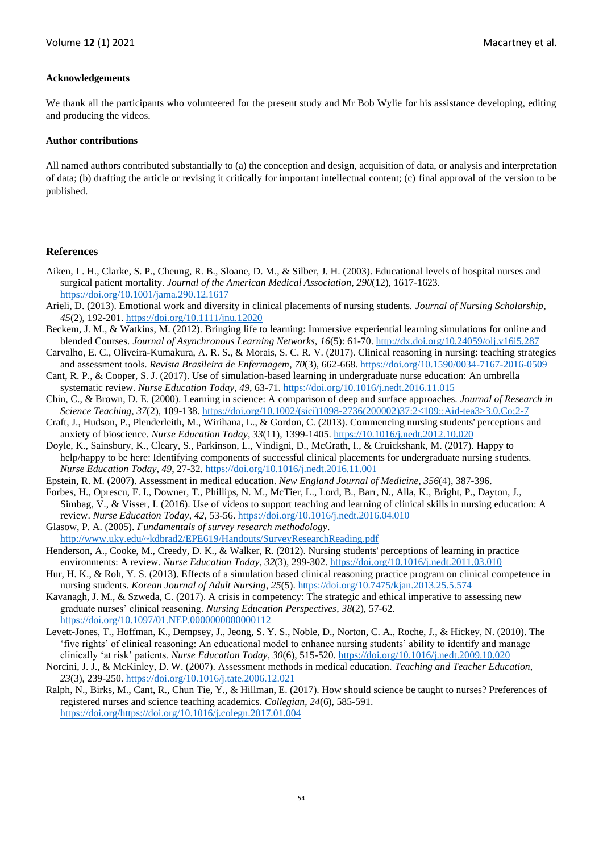#### **Acknowledgements**

We thank all the participants who volunteered for the present study and Mr Bob Wylie for his assistance developing, editing and producing the videos.

#### **Author contributions**

All named authors contributed substantially to (a) the conception and design, acquisition of data, or analysis and interpretation of data; (b) drafting the article or revising it critically for important intellectual content; (c) final approval of the version to be published.

#### **References**

- Aiken, L. H., Clarke, S. P., Cheung, R. B., Sloane, D. M., & Silber, J. H. (2003). Educational levels of hospital nurses and surgical patient mortality. *Journal of the American Medical Association*, *290*(12), 1617-1623. <https://doi.org/10.1001/jama.290.12.1617>
- Arieli, D. (2013). Emotional work and diversity in clinical placements of nursing students. *Journal of Nursing Scholarship*, *45*(2), 192-201[. https://doi.org/10.1111/jnu.12020](https://doi.org/10.1111/jnu.12020)
- Beckem, J. M., & Watkins, M. (2012). Bringing life to learning: Immersive experiential learning simulations for online and blended Courses. *Journal of Asynchronous Learning Networks, 16*(5): 61-70.<http://dx.doi.org/10.24059/olj.v16i5.287>
- Carvalho, E. C., Oliveira-Kumakura, A. R. S., & Morais, S. C. R. V. (2017). Clinical reasoning in nursing: teaching strategies and assessment tools. *Revista Brasileira de Enfermagem*, *70*(3), 662-668.<https://doi.org/10.1590/0034-7167-2016-0509>
- Cant, R. P., & Cooper, S. J. (2017). Use of simulation-based learning in undergraduate nurse education: An umbrella systematic review. *Nurse Education Today*, *49*, 63-71.<https://doi.org/10.1016/j.nedt.2016.11.015>
- Chin, C., & Brown, D. E. (2000). Learning in science: A comparison of deep and surface approaches. *Journal of Research in Science Teaching*, *37*(2), 109-138. [https://doi.org/10.1002/\(sici\)1098-2736\(200002\)37:2<109::Aid-tea3>3.0.Co;2-7](https://doi.org/10.1002/(sici)1098-2736(200002)37:2%3c109::Aid-tea3%3e3.0.Co;2-7)
- Craft, J., Hudson, P., Plenderleith, M., Wirihana, L., & Gordon, C. (2013). Commencing nursing students' perceptions and anxiety of bioscience. *Nurse Education Today*, *33*(11), 1399-1405[. https://10.1016/j.nedt.2012.10.020](https://10.0.3.248/j.nedt.2012.10.020)
- Doyle, K., Sainsbury, K., Cleary, S., Parkinson, L., Vindigni, D., McGrath, I., & Cruickshank, M. (2017). Happy to help/happy to be here: Identifying components of successful clinical placements for undergraduate nursing students. *Nurse Education Today*, *49*, 27-32.<https://doi.org/10.1016/j.nedt.2016.11.001>
- Epstein, R. M. (2007). Assessment in medical education. *New England Journal of Medicine*, *356*(4), 387-396.
- Forbes, H., Oprescu, F. I., Downer, T., Phillips, N. M., McTier, L., Lord, B., Barr, N., Alla, K., Bright, P., Dayton, J., Simbag, V., & Visser, I. (2016). Use of videos to support teaching and learning of clinical skills in nursing education: A review. *Nurse Education Today*, *42*, 53-56.<https://doi.org/10.1016/j.nedt.2016.04.010>
- Glasow, P. A. (2005). *Fundamentals of survey research methodology*. <http://www.uky.edu/~kdbrad2/EPE619/Handouts/SurveyResearchReading.pdf>
- Henderson, A., Cooke, M., Creedy, D. K., & Walker, R. (2012). Nursing students' perceptions of learning in practice environments: A review. *Nurse Education Today*, *32*(3), 299-302.<https://doi.org/10.1016/j.nedt.2011.03.010>
- Hur, H. K., & Roh, Y. S. (2013). Effects of a simulation based clinical reasoning practice program on clinical competence in nursing students. *Korean Journal of Adult Nursing*, *25*(5).<https://doi.org/10.7475/kjan.2013.25.5.574>
- Kavanagh, J. M., & Szweda, C. (2017). A crisis in competency: The strategic and ethical imperative to assessing new graduate nurses' clinical reasoning. *Nursing Education Perspectives*, *38*(2), 57-62. <https://doi.org/10.1097/01.NEP.0000000000000112>
- Levett-Jones, T., Hoffman, K., Dempsey, J., Jeong, S. Y. S., Noble, D., Norton, C. A., Roche, J., & Hickey, N. (2010). The 'five rights' of clinical reasoning: An educational model to enhance nursing students' ability to identify and manage clinically 'at risk' patients. *Nurse Education Today*, *30*(6), 515-520.<https://doi.org/10.1016/j.nedt.2009.10.020>
- Norcini, J. J., & McKinley, D. W. (2007). Assessment methods in medical education. *Teaching and Teacher Education*, *23*(3), 239-250[. https://doi.org/10.1016/j.tate.2006.12.021](https://doi.org/10.1016/j.tate.2006.12.021)
- Ralph, N., Birks, M., Cant, R., Chun Tie, Y., & Hillman, E. (2017). How should science be taught to nurses? Preferences of registered nurses and science teaching academics. *Collegian*, *24*(6), 585-591. [https://doi.org/https://doi.org/10.1016/j.colegn.2017.01.004](https://doi.org/https:/doi.org/10.1016/j.colegn.2017.01.004)